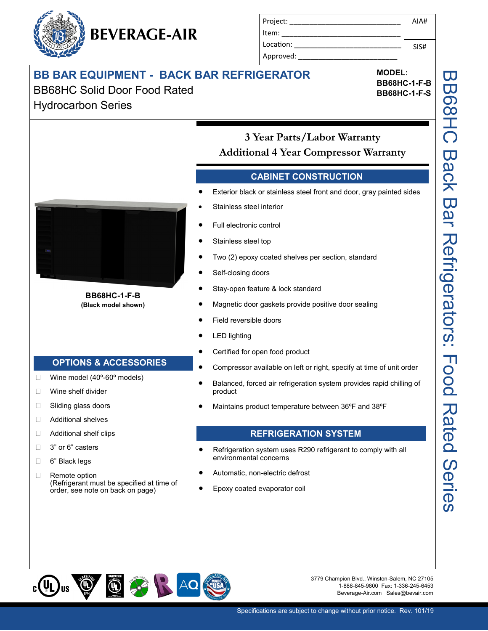# BEVERAGE-AIR

| Project:  | AIA# |
|-----------|------|
| Item:     |      |
| Location: | SIS# |
| Approved: |      |

## **BB BAR EQUIPMENT - BACK BAR REFRIGERATOR**

BB68HC Solid Door Food Rated Hydrocarbon Series

**OPTIONS & ACCESSORIES**

(Refrigerant must be specified at time of order, see note on back on page)

Wine model (40º-60º models)

**Nine shelf divider** □ Sliding glass doors Additional shelves □ Additional shelf clips

□ 3" or 6" casters □ 6" Black legs □ Remote option

**BB68HC-1-F-B (Black model shown)** **MODEL: BB68HC-1-F-B BB68HC-1-F-S**

**3 Year Parts/Labor Warranty Additional 4 Year Compressor Warranty** 

#### **CABINET CONSTRUCTION**

- Exterior black or stainless steel front and door, gray painted sides
- Stainless steel interior
- Full electronic control
- Stainless steel top
- Two (2) epoxy coated shelves per section, standard
- Self-closing doors
- Stay-open feature & lock standard
- Magnetic door gaskets provide positive door sealing
- Field reversible doors
- LED lighting
- Certified for open food product
- Compressor available on left or right, specify at time of unit order
- Balanced, forced air refrigeration system provides rapid chilling of product
- Maintains product temperature between 36ºF and 38ºF

#### **REFRIGERATION SYSTEM**

- Refrigeration system uses R290 refrigerant to comply with all environmental concerns
- Automatic, non-electric defrost
- Epoxy coated evaporator coil

 $\circledcirc$  $\bigoplus_{i=1}^{\infty}$ AQ

3779 Champion Blvd., Winston-Salem, NC 27105 1-888-845-9800 Fax: 1-336-245-6453 Beverage-Air.com Sales@bevair.com